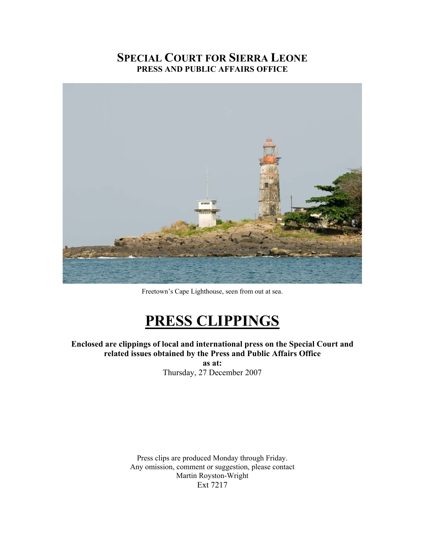# **SPECIAL COURT FOR SIERRA LEONE PRESS AND PUBLIC AFFAIRS OFFICE**



Freetown's Cape Lighthouse, seen from out at sea.

# **PRESS CLIPPINGS**

**Enclosed are clippings of local and international press on the Special Court and related issues obtained by the Press and Public Affairs Office** 

**as at:**  Thursday, 27 December 2007

Press clips are produced Monday through Friday. Any omission, comment or suggestion, please contact Martin Royston-Wright Ext 7217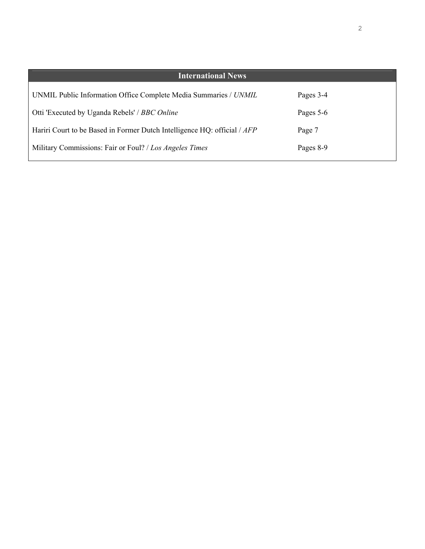| <b>International News</b>                                                |           |
|--------------------------------------------------------------------------|-----------|
| UNMIL Public Information Office Complete Media Summaries / UNMIL         | Pages 3-4 |
| Otti 'Executed by Uganda Rebels' / BBC Online                            | Pages 5-6 |
| Hariri Court to be Based in Former Dutch Intelligence HQ: official / AFP | Page 7    |
| Military Commissions: Fair or Foul? / Los Angeles Times                  | Pages 8-9 |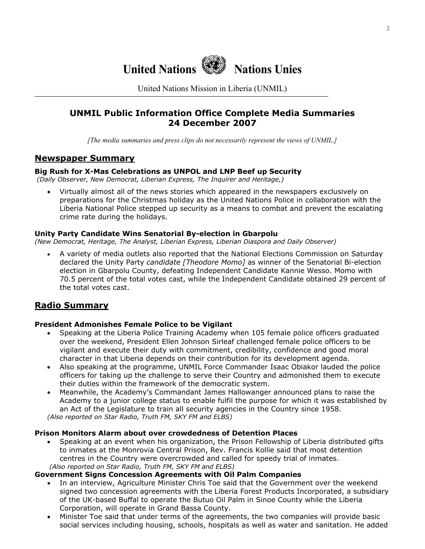

United Nations Mission in Liberia (UNMIL)

# **UNMIL Public Information Office Complete Media Summaries 24 December 2007**

*[The media summaries and press clips do not necessarily represent the views of UNMIL.]*

## **Newspaper Summary**

## **Big Rush for X-Mas Celebrations as UNPOL and LNP Beef up Security**

 *(Daily Observer, New Democrat, Liberian Express, The Inquirer and Heritage,)*

• Virtually almost all of the news stories which appeared in the newspapers exclusively on preparations for the Christmas holiday as the United Nations Police in collaboration with the Liberia National Police stepped up security as a means to combat and prevent the escalating crime rate during the holidays.

## **Unity Party Candidate Wins Senatorial By-election in Gbarpolu**

*(New Democrat, Heritage, The Analyst, Liberian Express, Liberian Diaspora and Daily Observer)* 

• A variety of media outlets also reported that the National Elections Commission on Saturday declared the Unity Party *candidate [Theodore Momo]* as winner of the Senatorial Bi-election election in Gbarpolu County, defeating Independent Candidate Kannie Wesso. Momo with 70.5 percent of the total votes cast, while the Independent Candidate obtained 29 percent of the total votes cast.

# **Radio Summary**

## **President Admonishes Female Police to be Vigilant**

- Speaking at the Liberia Police Training Academy when 105 female police officers graduated over the weekend, President Ellen Johnson Sirleaf challenged female police officers to be vigilant and execute their duty with commitment, credibility, confidence and good moral character in that Liberia depends on their contribution for its development agenda.
- Also speaking at the programme, UNMIL Force Commander Isaac Obiakor lauded the police officers for taking up the challenge to serve their Country and admonished them to execute their duties within the framework of the democratic system.
- Meanwhile, the Academy's Commandant James Hallowanger announced plans to raise the Academy to a junior college status to enable fulfil the purpose for which it was established by an Act of the Legislature to train all security agencies in the Country since 1958. *(Also reported on Star Radio, Truth FM, SKY FM and ELBS)*

#### **Prison Monitors Alarm about over crowdedness of Detention Places**

• Speaking at an event when his organization, the Prison Fellowship of Liberia distributed gifts to inmates at the Monrovia Central Prison, Rev. Francis Kollie said that most detention centres in the Country were overcrowded and called for speedy trial of inmates.  *(Also reported on Star Radio, Truth FM, SKY FM and ELBS)* 

#### **Government Signs Concession Agreements with Oil Palm Companies**

- In an interview, Agriculture Minister Chris Toe said that the Government over the weekend signed two concession agreements with the Liberia Forest Products Incorporated, a subsidiary of the UK-based Buffal to operate the Butuo Oil Palm in Sinoe County while the Liberia Corporation, will operate in Grand Bassa County.
- Minister Toe said that under terms of the agreements, the two companies will provide basic social services including housing, schools, hospitals as well as water and sanitation. He added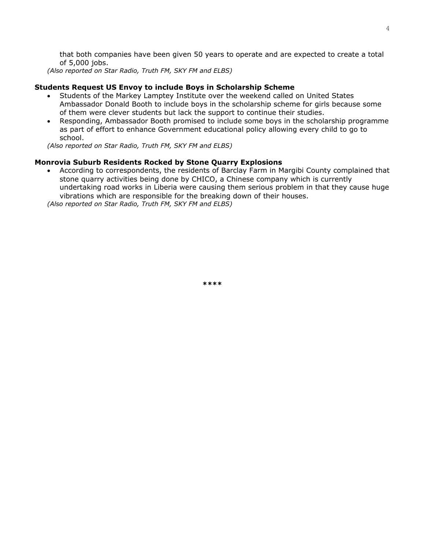that both companies have been given 50 years to operate and are expected to create a total of 5,000 jobs.

*(Also reported on Star Radio, Truth FM, SKY FM and ELBS)* 

#### **Students Request US Envoy to include Boys in Scholarship Scheme**

- Students of the Markey Lamptey Institute over the weekend called on United States Ambassador Donald Booth to include boys in the scholarship scheme for girls because some of them were clever students but lack the support to continue their studies.
- Responding, Ambassador Booth promised to include some boys in the scholarship programme as part of effort to enhance Government educational policy allowing every child to go to school.

*(Also reported on Star Radio, Truth FM, SKY FM and ELBS)* 

#### **Monrovia Suburb Residents Rocked by Stone Quarry Explosions**

• According to correspondents, the residents of Barclay Farm in Margibi County complained that stone quarry activities being done by CHICO, a Chinese company which is currently undertaking road works in Liberia were causing them serious problem in that they cause huge vibrations which are responsible for the breaking down of their houses.

*(Also reported on Star Radio, Truth FM, SKY FM and ELBS)* 

**\*\*\*\***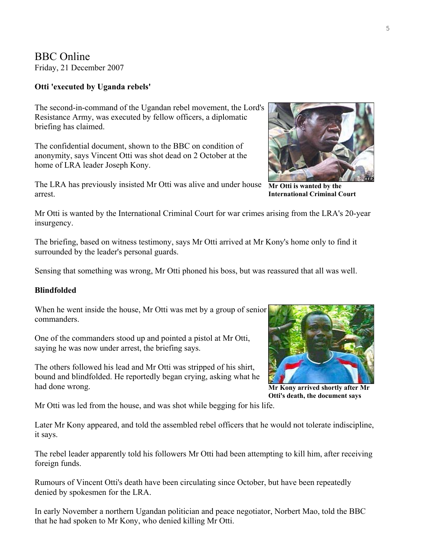BBC Online Friday, 21 December 2007

## **Otti 'executed by Uganda rebels'**

The second-in-command of the Ugandan rebel movement, the Lord's Resistance Army, was executed by fellow officers, a diplomatic briefing has claimed.

The confidential document, shown to the BBC on condition of anonymity, says Vincent Otti was shot dead on 2 October at the home of LRA leader Joseph Kony.

The LRA has previously insisted Mr Otti was alive and under house arrest.

Mr Otti is wanted by the International Criminal Court for war crimes arising from the LRA's 20-year insurgency.

The briefing, based on witness testimony, says Mr Otti arrived at Mr Kony's home only to find it surrounded by the leader's personal guards.

Sensing that something was wrong, Mr Otti phoned his boss, but was reassured that all was well.

## **Blindfolded**

When he went inside the house, Mr Otti was met by a group of senior commanders.

One of the commanders stood up and pointed a pistol at Mr Otti, saying he was now under arrest, the briefing says.

The others followed his lead and Mr Otti was stripped of his shirt, bound and blindfolded. He reportedly began crying, asking what he had done wrong.

**Mr Kony arrived shortly after Mr Otti's death, the document says** 

Mr Otti was led from the house, and was shot while begging for his life.

Later Mr Kony appeared, and told the assembled rebel officers that he would not tolerate indiscipline, it says.

The rebel leader apparently told his followers Mr Otti had been attempting to kill him, after receiving foreign funds.

Rumours of Vincent Otti's death have been circulating since October, but have been repeatedly denied by spokesmen for the LRA.

In early November a northern Ugandan politician and peace negotiator, Norbert Mao, told the BBC that he had spoken to Mr Kony, who denied killing Mr Otti.

**Mr Otti is wanted by the International Criminal Court** 



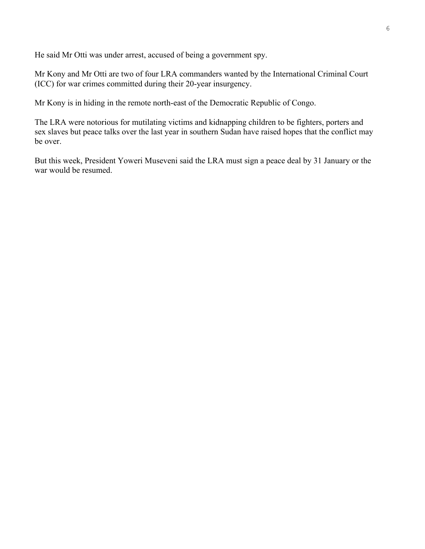He said Mr Otti was under arrest, accused of being a government spy.

Mr Kony and Mr Otti are two of four LRA commanders wanted by the International Criminal Court (ICC) for war crimes committed during their 20-year insurgency.

Mr Kony is in hiding in the remote north-east of the Democratic Republic of Congo.

The LRA were notorious for mutilating victims and kidnapping children to be fighters, porters and sex slaves but peace talks over the last year in southern Sudan have raised hopes that the conflict may be over.

But this week, President Yoweri Museveni said the LRA must sign a peace deal by 31 January or the war would be resumed.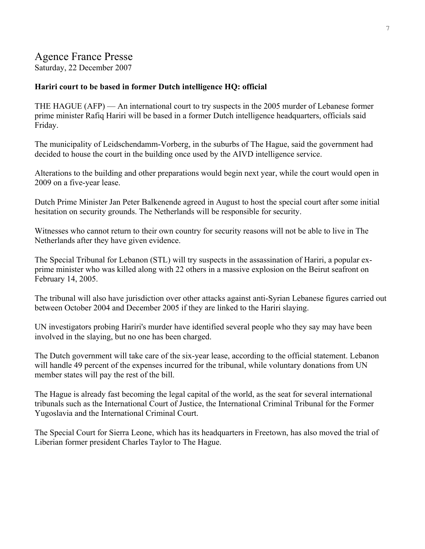# Agence France Presse

Saturday, 22 December 2007

## **Hariri court to be based in former Dutch intelligence HQ: official**

THE HAGUE (AFP) — An international court to try suspects in the 2005 murder of Lebanese former prime minister Rafiq Hariri will be based in a former Dutch intelligence headquarters, officials said Friday.

The municipality of Leidschendamm-Vorberg, in the suburbs of The Hague, said the government had decided to house the court in the building once used by the AIVD intelligence service.

Alterations to the building and other preparations would begin next year, while the court would open in 2009 on a five-year lease.

Dutch Prime Minister Jan Peter Balkenende agreed in August to host the special court after some initial hesitation on security grounds. The Netherlands will be responsible for security.

Witnesses who cannot return to their own country for security reasons will not be able to live in The Netherlands after they have given evidence.

The Special Tribunal for Lebanon (STL) will try suspects in the assassination of Hariri, a popular exprime minister who was killed along with 22 others in a massive explosion on the Beirut seafront on February 14, 2005.

The tribunal will also have jurisdiction over other attacks against anti-Syrian Lebanese figures carried out between October 2004 and December 2005 if they are linked to the Hariri slaying.

UN investigators probing Hariri's murder have identified several people who they say may have been involved in the slaying, but no one has been charged.

The Dutch government will take care of the six-year lease, according to the official statement. Lebanon will handle 49 percent of the expenses incurred for the tribunal, while voluntary donations from UN member states will pay the rest of the bill.

The Hague is already fast becoming the legal capital of the world, as the seat for several international tribunals such as the International Court of Justice, the International Criminal Tribunal for the Former Yugoslavia and the International Criminal Court.

The Special Court for Sierra Leone, which has its headquarters in Freetown, has also moved the trial of Liberian former president Charles Taylor to The Hague.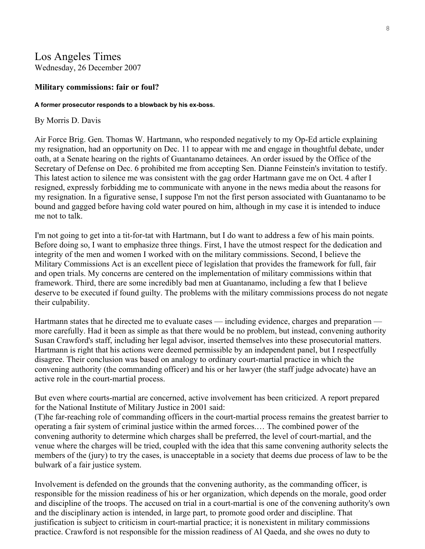# Los Angeles Times Wednesday, 26 December 2007

#### **Military commissions: fair or foul?**

#### **A former prosecutor responds to a blowback by his ex-boss.**

#### By Morris D. Davis

Air Force Brig. Gen. Thomas W. Hartmann, who [responded](http://www.latimes.com/news/opinion/commentary/la-oew-hartmann19dec19,0,5821562.story?coll=la-home-commentary) negatively to my [Op-Ed](http://www.latimes.com/news/opinion/la-oe-davis10dec10,0,2446661.story) article explaining my resignation, had an opportunity on Dec. 11 to appear with me and engage in thoughtful debate, under oath, at a Senate hearing on the rights of Guantanamo detainees. An order issued by the Office of the Secretary of Defense on Dec. 6 prohibited me from accepting Sen. Dianne Feinstein's invitation to testify. This latest action to silence me was consistent with the gag order Hartmann gave me on Oct. 4 after I resigned, expressly forbidding me to communicate with anyone in the news media about the reasons for my resignation. In a figurative sense, I suppose I'm not the first person associated with Guantanamo to be bound and gagged before having cold water poured on him, although in my case it is intended to induce me not to talk.

I'm not going to get into a tit-for-tat with Hartmann, but I do want to address a few of his main points. Before doing so, I want to emphasize three things. First, I have the utmost respect for the dedication and integrity of the men and women I worked with on the military commissions. Second, I believe the Military Commissions Act is an excellent piece of legislation that provides the framework for full, fair and open trials. My concerns are centered on the implementation of military commissions within that framework. Third, there are some incredibly bad men at Guantanamo, including a few that I believe deserve to be executed if found guilty. The problems with the military commissions process do not negate their culpability.

Hartmann states that he directed me to evaluate cases — including evidence, charges and preparation more carefully. Had it been as simple as that there would be no problem, but instead, convening authority Susan Crawford's staff, including her legal advisor, inserted themselves into these prosecutorial matters. Hartmann is right that his actions were deemed permissible by an independent panel, but I respectfully disagree. Their conclusion was based on analogy to ordinary court-martial practice in which the convening authority (the commanding officer) and his or her lawyer (the staff judge advocate) have an active role in the court-martial process.

But even where courts-martial are concerned, active involvement has been criticized. A report prepared for the National Institute of Military Justice in 2001 said:

(T)he far-reaching role of commanding officers in the court-martial process remains the greatest barrier to operating a fair system of criminal justice within the armed forces.… The combined power of the convening authority to determine which charges shall be preferred, the level of court-martial, and the venue where the charges will be tried, coupled with the idea that this same convening authority selects the members of the (jury) to try the cases, is unacceptable in a society that deems due process of law to be the bulwark of a fair justice system.

Involvement is defended on the grounds that the convening authority, as the commanding officer, is responsible for the mission readiness of his or her organization, which depends on the morale, good order and discipline of the troops. The accused on trial in a court-martial is one of the convening authority's own and the disciplinary action is intended, in large part, to promote good order and discipline. That justification is subject to criticism in court-martial practice; it is nonexistent in military commissions practice. Crawford is not responsible for the mission readiness of Al Qaeda, and she owes no duty to